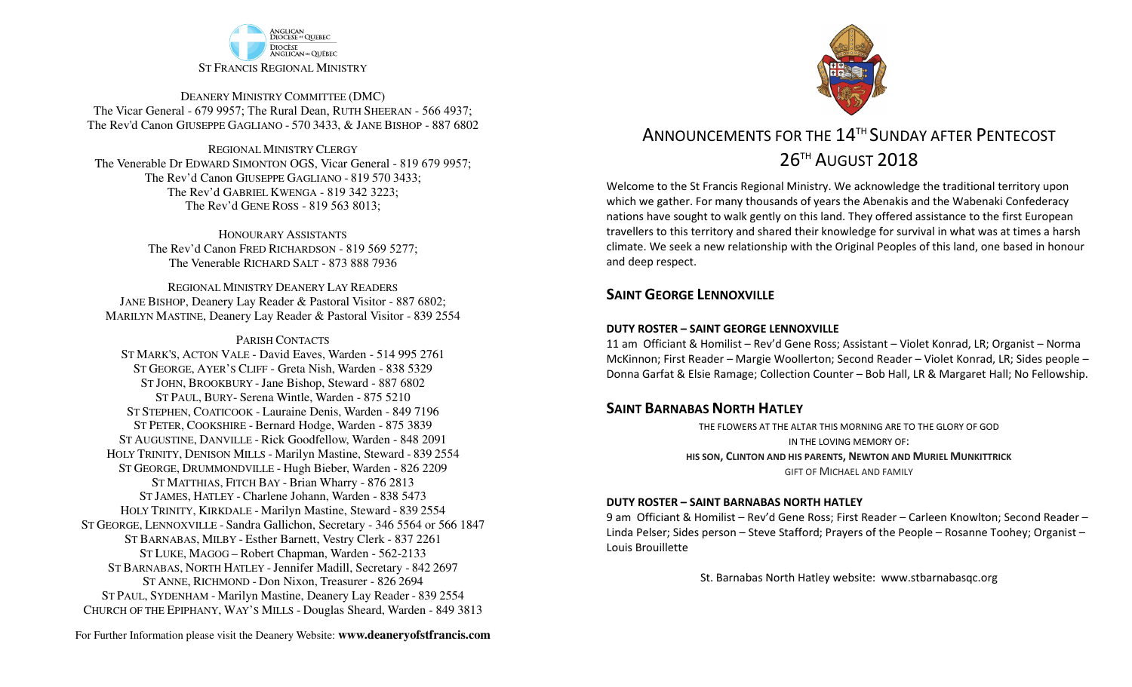

DEANERY MINISTRY COMMITTEE (DMC) The Vicar General - 679 9957; The Rural Dean, RUTH SHEERAN - 566 4937; The Rev'd Canon GIUSEPPE GAGLIANO - <sup>570</sup> 3433, & JANE BISHOP - 887 6802

REGIONAL MINISTRY CLERGY The Venerable Dr EDWARD SIMONTON OGS, Vicar General - 819 679 9957;The Rev'd Canon GIUSEPPE GAGLIANO - <sup>819</sup> <sup>570</sup> 3433; The Rev'd GABRIEL KWENGA - 819 342 3223;The Rev'd GENE ROSS - 819 563 8013;

> HONOURARY ASSISTANTS The Rev'd Canon FRED RICHARDSON - 819 569 5277;The Venerable RICHARD SALT - 873 888 7936

REGIONAL MINISTRY DEANERY LAY READERS JANE BISHOP, Deanery Lay Reader & Pastoral Visitor - 887 6802;MARILYN MASTINE, Deanery Lay Reader & Pastoral Visitor - 839 2554

#### PARISH CONTACTS

 ST MARK'S, ACTON VALE - David Eaves, Warden - 514 995 2761 ST GEORGE, AYER'S CLIFF - Greta Nish, Warden - 838 5329 ST JOHN, BROOKBURY -Jane Bishop, Steward - 887 6802 ST PAUL, BURY- Serena Wintle, Warden - 875 5210 ST STEPHEN, COATICOOK - Lauraine Denis, Warden - 849 7196 ST PETER, COOKSHIRE - Bernard Hodge, Warden - 875 3839 ST AUGUSTINE, DANVILLE - Rick Goodfellow, Warden - 848 2091 HOLY TRINITY, DENISON MILLS - Marilyn Mastine, Steward - <sup>839</sup> <sup>2554</sup> ST GEORGE, DRUMMONDVILLE - Hugh Bieber, Warden - 826 2209 ST MATTHIAS, FITCH BAY - Brian Wharry - 876 2813 ST JAMES, HATLEY - Charlene Johann, Warden - 838 5473 HOLY TRINITY, KIRKDALE - Marilyn Mastine, Steward - <sup>839</sup> <sup>2554</sup> ST GEORGE, LENNOXVILLE - Sandra Gallichon, Secretary - 346 5564 or 566 1847 ST BARNABAS, MILBY - Esther Barnett, Vestry Clerk - 837 2261 ST LUKE, MAGOG – Robert Chapman, Warden - 562-2133 ST BARNABAS, NORTH HATLEY -Jennifer Madill, Secretary - <sup>842</sup> <sup>2697</sup> ST ANNE, RICHMOND - Don Nixon, Treasurer - 826 <sup>2694</sup> ST PAUL, SYDENHAM - Marilyn Mastine, Deanery Lay Reader - <sup>839</sup> <sup>2554</sup> CHURCH OF THE EPIPHANY, WAY'S MILLS - Douglas Sheard, Warden - 849 3813



# ANNOUNCEMENTS FOR THE 14<sup>TH</sup> SUNDAY AFTER PENTECOST 26TH AUGUST 2018

Welcome to the St Francis Regional Ministry. We acknowledge the traditional territory upon which we gather. For many thousands of years the Abenakis and the Wabenaki Confederacy nations have sought to walk gently on this land. They offered assistance to the first European travellers to this territory and shared their knowledge for survival in what was at times a harsh climate. We seek a new relationship with the Original Peoples of this land, one based in honour and deep respect.

### **SAINT GFORGE LENNOXVILLE**

#### **DUTY ROSTER – SAINT GEORGE LENNOXVILLE**

11 am Officiant & Homilist – Rev'd Gene Ross; Assistant – Violet Konrad, LR; Organist – Norma McKinnon; First Reader – Margie Woollerton; Second Reader – Violet Konrad, LR; Sides people – Donna Garfat & Elsie Ramage; Collection Counter – Bob Hall, LR & Margaret Hall; No Fellowship.

#### **SAINT BARNABAS NORTH HATLEY**

 THE FLOWERS AT THE ALTAR THIS MORNING ARE TO THE GLORY OF GODIN THE LOVING MEMORY OF: **HIS SON, CLINTON AND HIS PARENTS, NEWTON AND MURIEL MUNKITTRICK**GIFT OF MICHAEL AND FAMILY

#### **DUTY ROSTER – SAINT BARNABAS NORTH HATLEY**

9 am Officiant & Homilist – Rev'd Gene Ross; First Reader – Carleen Knowlton; Second Reader – Linda Pelser; Sides person – Steve Stafford; Prayers of the People – Rosanne Toohey; Organist – Louis Brouillette

St. Barnabas North Hatley website: www.stbarnabasqc.org

For Further Information please visit the Deanery Website: **www.deaneryofstfrancis.com**